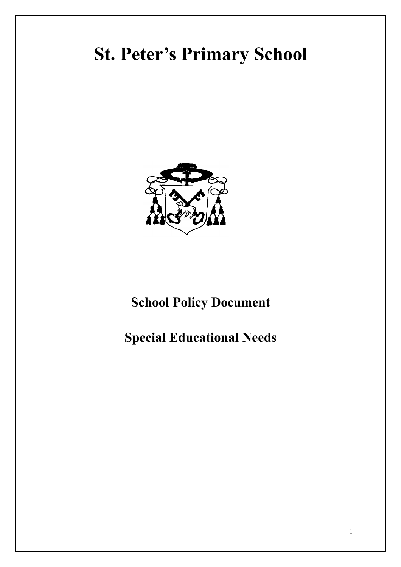# **St. Peter's Primary School**



## **School Policy Document**

## **Special Educational Needs**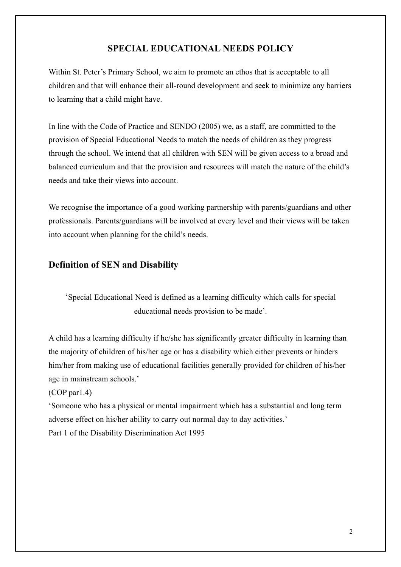#### **SPECIAL EDUCATIONAL NEEDS POLICY**

Within St. Peter's Primary School, we aim to promote an ethos that is acceptable to all children and that will enhance their all-round development and seek to minimize any barriers to learning that a child might have.

In line with the Code of Practice and SENDO (2005) we, as a staff, are committed to the provision of Special Educational Needs to match the needs of children as they progress through the school. We intend that all children with SEN will be given access to a broad and balanced curriculum and that the provision and resources will match the nature of the child's needs and take their views into account.

We recognise the importance of a good working partnership with parents/guardians and other professionals. Parents/guardians will be involved at every level and their views will be taken into account when planning for the child's needs.

#### **Definition of SEN and Disability**

'Special Educational Need is defined as a learning difficulty which calls for special educational needs provision to be made'.

A child has a learning difficulty if he/she has significantly greater difficulty in learning than the majority of children of his/her age or has a disability which either prevents or hinders him/her from making use of educational facilities generally provided for children of his/her age in mainstream schools.'

(COP par1.4)

'Someone who has a physical or mental impairment which has a substantial and long term adverse effect on his/her ability to carry out normal day to day activities.' Part 1 of the Disability Discrimination Act 1995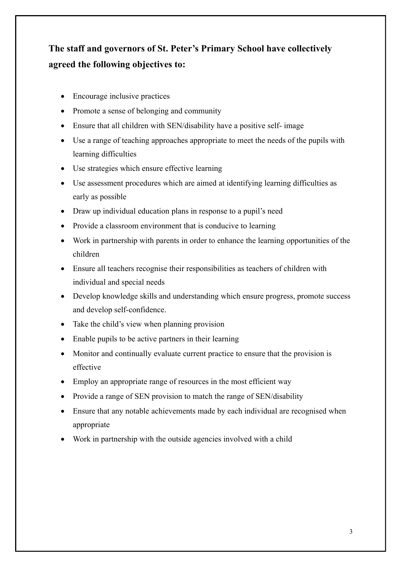## **The staff and governors of St. Peter's Primary School have collectively agreed the following objectives to:**

- Encourage inclusive practices
- Promote a sense of belonging and community
- Ensure that all children with SEN/disability have a positive self- image
- Use a range of teaching approaches appropriate to meet the needs of the pupils with learning difficulties
- Use strategies which ensure effective learning
- Use assessment procedures which are aimed at identifying learning difficulties as early as possible
- Draw up individual education plans in response to a pupil's need
- Provide a classroom environment that is conducive to learning
- Work in partnership with parents in order to enhance the learning opportunities of the children
- Ensure all teachers recognise their responsibilities as teachers of children with individual and special needs
- Develop knowledge skills and understanding which ensure progress, promote success and develop self-confidence.
- Take the child's view when planning provision
- Enable pupils to be active partners in their learning
- Monitor and continually evaluate current practice to ensure that the provision is effective
- Employ an appropriate range of resources in the most efficient way
- Provide a range of SEN provision to match the range of SEN/disability
- Ensure that any notable achievements made by each individual are recognised when appropriate
- Work in partnership with the outside agencies involved with a child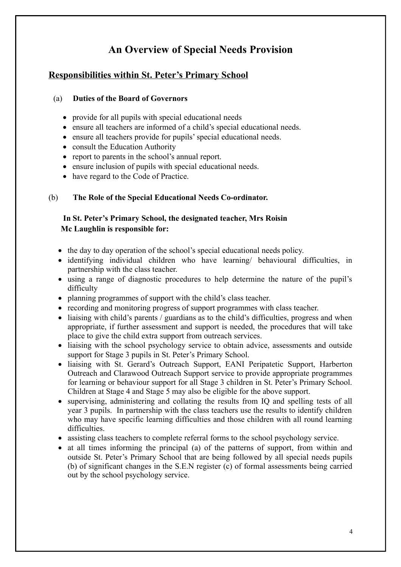## **An Overview of Special Needs Provision**

#### **Responsibilities within St. Peter's Primary School**

#### (a) **Duties of the Board of Governors**

- provide for all pupils with special educational needs
- ensure all teachers are informed of a child's special educational needs.
- ensure all teachers provide for pupils' special educational needs.
- consult the Education Authority
- report to parents in the school's annual report.
- ensure inclusion of pupils with special educational needs.
- have regard to the Code of Practice.

#### (b) **The Role of the Special Educational Needs Co-ordinator.**

#### **In St. Peter's Primary School, the designated teacher, Mrs Roisin Mc Laughlin is responsible for:**

- the day to day operation of the school's special educational needs policy.
- identifying individual children who have learning/ behavioural difficulties, in partnership with the class teacher.
- using a range of diagnostic procedures to help determine the nature of the pupil's difficulty
- planning programmes of support with the child's class teacher.
- recording and monitoring progress of support programmes with class teacher.
- liaising with child's parents / guardians as to the child's difficulties, progress and when appropriate, if further assessment and support is needed, the procedures that will take place to give the child extra support from outreach services.
- liaising with the school psychology service to obtain advice, assessments and outside support for Stage 3 pupils in St. Peter's Primary School.
- liaising with St. Gerard's Outreach Support, EANI Peripatetic Support, Harberton Outreach and Clarawood Outreach Support service to provide appropriate programmes for learning or behaviour support for all Stage 3 children in St. Peter's Primary School. Children at Stage 4 and Stage 5 may also be eligible for the above support.
- supervising, administering and collating the results from IQ and spelling tests of all year 3 pupils. In partnership with the class teachers use the results to identify children who may have specific learning difficulties and those children with all round learning difficulties.
- assisting class teachers to complete referral forms to the school psychology service.
- at all times informing the principal (a) of the patterns of support, from within and outside St. Peter's Primary School that are being followed by all special needs pupils (b) of significant changes in the S.E.N register (c) of formal assessments being carried out by the school psychology service.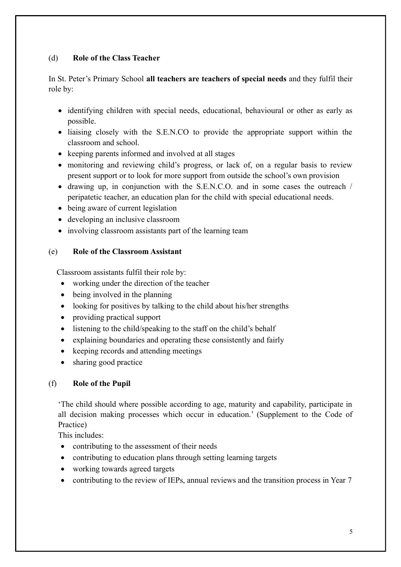#### (d) **Role of the Class Teacher**

In St. Peter's Primary School **all teachers are teachers of special needs** and they fulfil their role by:

- identifying children with special needs, educational, behavioural or other as early as possible.
- liaising closely with the S.E.N.CO to provide the appropriate support within the classroom and school.
- keeping parents informed and involved at all stages
- monitoring and reviewing child's progress, or lack of, on a regular basis to review present support or to look for more support from outside the school's own provision
- drawing up, in conjunction with the S.E.N.C.O. and in some cases the outreach / peripatetic teacher, an education plan for the child with special educational needs.
- being aware of current legislation
- developing an inclusive classroom
- involving classroom assistants part of the learning team

#### (e) **Role of the Classroom Assistant**

Classroom assistants fulfil their role by:

- working under the direction of the teacher
- being involved in the planning
- looking for positives by talking to the child about his/her strengths
- providing practical support
- listening to the child/speaking to the staff on the child's behalf
- explaining boundaries and operating these consistently and fairly
- keeping records and attending meetings
- sharing good practice

#### (f) **Role of the Pupil**

'The child should where possible according to age, maturity and capability, participate in all decision making processes which occur in education.' (Supplement to the Code of Practice)

This includes:

- contributing to the assessment of their needs
- contributing to education plans through setting learning targets
- working towards agreed targets
- contributing to the review of IEPs, annual reviews and the transition process in Year 7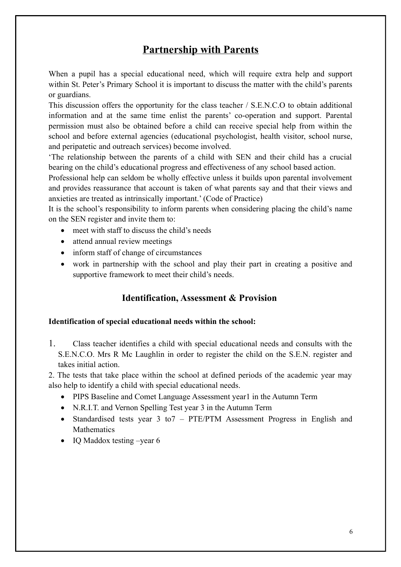### **Partnership with Parents**

When a pupil has a special educational need, which will require extra help and support within St. Peter's Primary School it is important to discuss the matter with the child's parents or guardians.

This discussion offers the opportunity for the class teacher / S.E.N.C.O to obtain additional information and at the same time enlist the parents' co-operation and support. Parental permission must also be obtained before a child can receive special help from within the school and before external agencies (educational psychologist, health visitor, school nurse, and peripatetic and outreach services) become involved.

'The relationship between the parents of a child with SEN and their child has a crucial bearing on the child's educational progress and effectiveness of any school based action.

Professional help can seldom be wholly effective unless it builds upon parental involvement and provides reassurance that account is taken of what parents say and that their views and anxieties are treated as intrinsically important.' (Code of Practice)

It is the school's responsibility to inform parents when considering placing the child's name on the SEN register and invite them to:

- meet with staff to discuss the child's needs
- attend annual review meetings
- inform staff of change of circumstances
- work in partnership with the school and play their part in creating a positive and supportive framework to meet their child's needs.

#### **Identification, Assessment & Provision**

#### **Identification of special educational needs within the school:**

1. Class teacher identifies a child with special educational needs and consults with the S.E.N.C.O. Mrs R Mc Laughlin in order to register the child on the S.E.N. register and takes initial action.

2. The tests that take place within the school at defined periods of the academic year may also help to identify a child with special educational needs.

- PIPS Baseline and Comet Language Assessment year1 in the Autumn Term
- N.R.I.T. and Vernon Spelling Test year 3 in the Autumn Term
- Standardised tests year 3 to7 PTE/PTM Assessment Progress in English and Mathematics
- $\bullet$  IO Maddox testing –year 6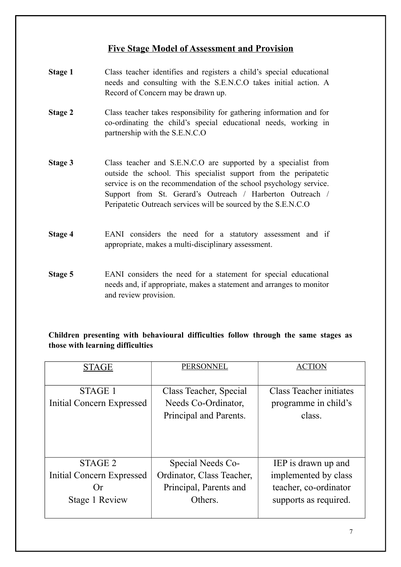#### **Five Stage Model of Assessment and Provision**

- **Stage 1** Class teacher identifies and registers a child's special educational needs and consulting with the S.E.N.C.O takes initial action. A Record of Concern may be drawn up.
- **Stage 2** Class teacher takes responsibility for gathering information and for co-ordinating the child's special educational needs, working in partnership with the S.E.N.C.O
- **Stage 3** Class teacher and S.E.N.C.O are supported by a specialist from outside the school. This specialist support from the peripatetic service is on the recommendation of the school psychology service. Support from St. Gerard's Outreach / Harberton Outreach / Peripatetic Outreach services will be sourced by the S.E.N.C.O
- **Stage 4** EANI considers the need for a statutory assessment and if appropriate, makes a multi-disciplinary assessment.
- **Stage 5** EANI considers the need for a statement for special educational needs and, if appropriate, makes a statement and arranges to monitor and review provision.

#### **Children presenting with behavioural difficulties follow through the same stages as those with learning difficulties**

| <b>STAGE</b>                         | <b>PERSONNEL</b>                                                        | <b>ACTION</b>                                                    |
|--------------------------------------|-------------------------------------------------------------------------|------------------------------------------------------------------|
| STAGE 1<br>Initial Concern Expressed | Class Teacher, Special<br>Needs Co-Ordinator,<br>Principal and Parents. | <b>Class Teacher initiates</b><br>programme in child's<br>class. |
| STAGE 2                              | Special Needs Co-                                                       | IEP is drawn up and                                              |
| Initial Concern Expressed            | Ordinator, Class Teacher,                                               | implemented by class                                             |
| Or                                   | Principal, Parents and                                                  | teacher, co-ordinator                                            |
| Stage 1 Review                       | Others.                                                                 | supports as required.                                            |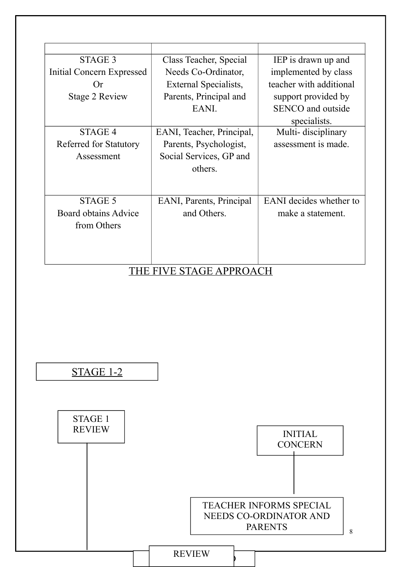| STAGE 3                          | Class Teacher, Special    | IEP is drawn up and      |  |
|----------------------------------|---------------------------|--------------------------|--|
| Initial Concern Expressed        | Needs Co-Ordinator,       | implemented by class     |  |
| Or                               | External Specialists,     | teacher with additional  |  |
| Stage 2 Review                   | Parents, Principal and    | support provided by      |  |
|                                  | EANI.                     | <b>SENCO</b> and outside |  |
|                                  |                           | specialists.             |  |
| STAGE 4                          | EANI, Teacher, Principal, | Multi-disciplinary       |  |
| Referred for Statutory           | Parents, Psychologist,    | assessment is made.      |  |
| Assessment                       | Social Services, GP and   |                          |  |
|                                  | others.                   |                          |  |
|                                  |                           |                          |  |
|                                  |                           |                          |  |
| STAGE 5                          | EANI, Parents, Principal  | EANI decides whether to  |  |
| <b>Board obtains Advice</b>      | and Others.               | make a statement.        |  |
| from Others                      |                           |                          |  |
|                                  |                           |                          |  |
|                                  |                           |                          |  |
|                                  |                           |                          |  |
| <b>FIVE STAGE APPROACH</b><br>E. |                           |                          |  |



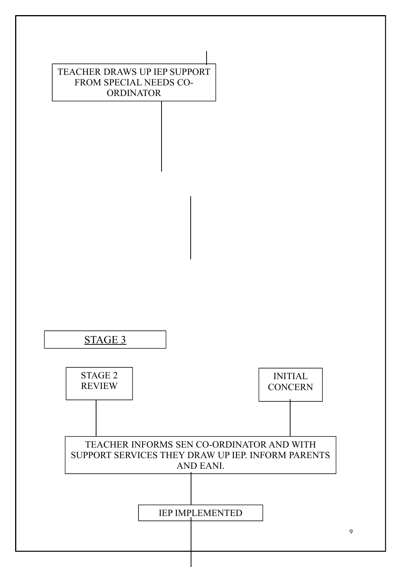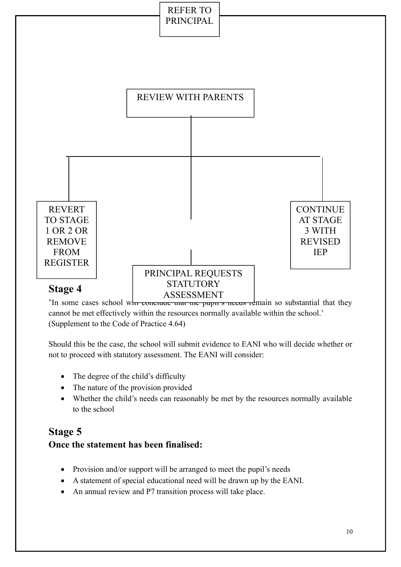

'In some cases school whre concrude that the pupil's needs remain so substantial that they cannot be met effectively within the resources normally available within the school.' (Supplement to the Code of Practice 4.64)

Should this be the case, the school will submit evidence to EANI who will decide whether or not to proceed with statutory assessment. The EANI will consider:

- The degree of the child's difficulty
- The nature of the provision provided
- Whether the child's needs can reasonably be met by the resources normally available to the school

### **Stage 5**

#### **Once the statement has been finalised:**

- Provision and/or support will be arranged to meet the pupil's needs
- A statement of special educational need will be drawn up by the EANI.
- An annual review and P7 transition process will take place.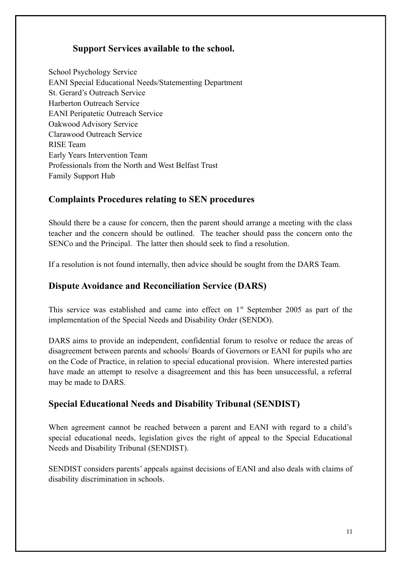#### **Support Services available to the school.**

School Psychology Service EANI Special Educational Needs/Statementing Department St. Gerard's Outreach Service Harberton Outreach Service EANI Peripatetic Outreach Service Oakwood Advisory Service Clarawood Outreach Service RISE Team Early Years Intervention Team Professionals from the North and West Belfast Trust Family Support Hub

#### **Complaints Procedures relating to SEN procedures**

Should there be a cause for concern, then the parent should arrange a meeting with the class teacher and the concern should be outlined. The teacher should pass the concern onto the SENCo and the Principal. The latter then should seek to find a resolution.

If a resolution is not found internally, then advice should be sought from the DARS Team.

#### **Dispute Avoidance and Reconciliation Service (DARS)**

This service was established and came into effect on  $1<sup>st</sup>$  September 2005 as part of the implementation of the Special Needs and Disability Order (SENDO).

DARS aims to provide an independent, confidential forum to resolve or reduce the areas of disagreement between parents and schools/ Boards of Governors or EANI for pupils who are on the Code of Practice, in relation to special educational provision. Where interested parties have made an attempt to resolve a disagreement and this has been unsuccessful, a referral may be made to DARS.

#### **Special Educational Needs and Disability Tribunal (SENDIST)**

When agreement cannot be reached between a parent and EANI with regard to a child's special educational needs, legislation gives the right of appeal to the Special Educational Needs and Disability Tribunal (SENDIST).

SENDIST considers parents' appeals against decisions of EANI and also deals with claims of disability discrimination in schools.